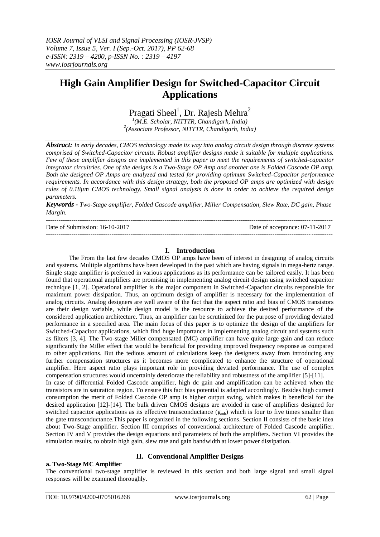# **High Gain Amplifier Design for Switched-Capacitor Circuit Applications**

Pragati Sheel<sup>1</sup>, Dr. Rajesh Mehra<sup>2</sup>

*1 (M.E. Scholar, NITTTR, Chandigarh, India) 2 (Associate Professor, NITTTR, Chandigarh, India)*

*Abstract: In early decades, CMOS technology made its way into analog circuit design through discrete systems comprised of Switched-Capacitor circuits. Robust amplifier designs made it suitable for multiple applications. Few of these amplifier designs are implemented in this paper to meet the requirements of switched-capacitor integrator circuitries. One of the designs is a Two-Stage OP Amp and another one is Folded Cascode OP amp. Both the designed OP Amps are analyzed and tested for providing optimum Switched-Capacitor performance requirements. In accordance with this design strategy, both the proposed OP amps are optimized with design rules of 0.18µm CMOS technology. Small signal analysis is done in order to achieve the required design parameters.*

*Keywords - Two-Stage amplifier, Folded Cascode amplifier, Miller Compensation, Slew Rate, DC gain, Phase Margin.* 

---------------------------------------------------------------------------------------------------------------------------------------

Date of Submission: 16-10-2017 Date of acceptance: 07-11-2017

### **I. Introduction**

---------------------------------------------------------------------------------------------------------------------------------------

The From the last few decades CMOS OP amps have been of interest in designing of analog circuits and systems. Multiple algorithms have been developed in the past which are having signals in mega-hertz range. Single stage amplifier is preferred in various applications as its performance can be tailored easily. It has been found that operational amplifiers are promising in implementing analog circuit design using switched capacitor technique [1, 2]. Operational amplifier is the major component in Switched-Capacitor circuits responsible for maximum power dissipation. Thus, an optimum design of amplifier is necessary for the implementation of analog circuits. Analog designers are well aware of the fact that the aspect ratio and bias of CMOS transistors are their design variable, while design model is the resource to achieve the desired performance of the considered application architecture. Thus, an amplifier can be scrutinized for the purpose of providing deviated performance in a specified area. The main focus of this paper is to optimize the design of the amplifiers for Switched-Capacitor applications, which find huge importance in implementing analog circuit and systems such as filters [3, 4]. The Two-stage Miller compensated (MC) amplifier can have quite large gain and can reduce significantly the Miller effect that would be beneficial for providing improved frequency response as compared to other applications. But the tedious amount of calculations keep the designers away from introducing any further compensation structures as it becomes more complicated to enhance the structure of operational amplifier. Here aspect ratio plays important role in providing deviated performance. The use of complex compensation structures would uncertainly deteriorate the reliability and robustness of the amplifier [5]-[11]. In case of differential Folded Cascode amplifier, high dc gain and amplification can be achieved when the transistors are in saturation region. To ensure this fact bias potential is adapted accordingly. Besides high current consumption the merit of Folded Cascode OP amp is higher output swing, which makes it beneficial for the desired application [12]-[14]. The bulk driven CMOS designs are avoided in case of amplifiers designed for switched capacitor applications as its effective transconductance  $(g_{mb})$  which is four to five times smaller than the gate transconductance.This paper is organized in the following sections. Section II consists of the basic idea about Two-Stage amplifier. Section III comprises of conventional architecture of Folded Cascode amplifier. Section IV and V provides the design equations and parameters of both the amplifiers. Section VI provides the simulation results, to obtain high gain, slew rate and gain bandwidth at lower power dissipation.

## **II. Conventional Amplifier Designs**

## **a. Two-Stage MC Amplifier**

The conventional two-stage amplifier is reviewed in this section and both large signal and small signal responses will be examined thoroughly.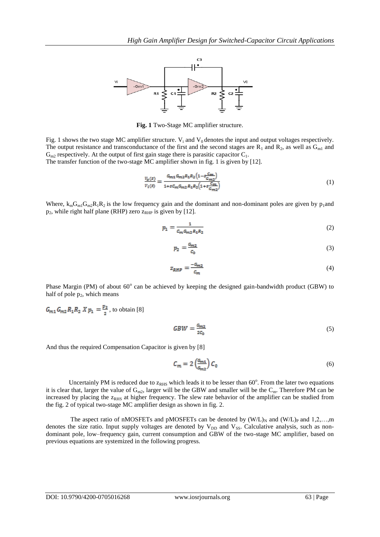

**Fig. 1** Two-Stage MC amplifier structure.

Fig. 1 shows the two stage MC amplifier structure.  $V_i$  and  $V_0$  denotes the input and output voltages respectively. The output resistance and transconductance of the first and the second stages are  $R_1$  and  $R_2$ , as well as  $G_{m1}$  and  $G<sub>m2</sub>$  respectively. At the output of first gain stage there is parasitic capacitor  $C<sub>1</sub>$ .

The transfer function of the two-stage MC amplifier shown in fig. 1 is given by [12].

$$
\frac{V_o(s)}{V_i(s)} = \frac{G_{m1} G_{m2} R_1 R_2 \left(1 - s \frac{G_m}{G_{m2}}\right)}{1 + s G_m G_{m2} R_1 R_2 \left(1 + s \frac{G_m}{G_{m2}}\right)}\tag{1}
$$

Where,  $k_{m}G_{m1}G_{m2}R_{1}R_{2}$  is the low frequency gain and the dominant and non-dominant poles are given by p<sub>1</sub>and  $p_2$ , while right half plane (RHP) zero  $z_{RHP}$  is given by [12].

$$
p_1 = \frac{1}{c_m c_{m2} R_1 R_2} \tag{2}
$$

$$
p_2 = \frac{G_{m2}}{c_0} \tag{3}
$$

$$
z_{RHP} = \frac{-c_{m2}}{c_m} \tag{4}
$$

Phase Margin (PM) of about 60° can be achieved by keeping the designed gain-bandwidth product (GBW) to half of pole  $p_2$ , which means

 $G_{m1}G_{m2}R_1R_2 X p_1 = \frac{p_2}{2}$ , to obtain [8]

$$
GBW = \frac{G_{m2}}{2c_0} \tag{5}
$$

And thus the required Compensation Capacitor is given by [8]

$$
C_m = 2\left(\frac{G_{m1}}{G_{m2}}\right)C_0\tag{6}
$$

Uncertainly PM is reduced due to  $z_{RHS}$  which leads it to be lesser than  $60^\circ$ . From the later two equations it is clear that, larger the value of  $G_{m2}$ , larger will be the GBW and smaller will be the  $C_m$ . Therefore PM can be increased by placing the  $z<sub>RHS</sub>$  at higher frequency. The slew rate behavior of the amplifier can be studied from the fig. 2 of typical two-stage MC amplifier design as shown in fig. 2.

The aspect ratio of nMOSFETs and pMOSFETs can be denoted by  $(W/L)_N$  and  $(W/L)_P$  and  $1,2,...,m$ denotes the size ratio. Input supply voltages are denoted by  $V_{DD}$  and  $V_{SS}$ . Calculative analysis, such as nondominant pole, low–frequency gain, current consumption and GBW of the two-stage MC amplifier, based on previous equations are systemized in the following progress.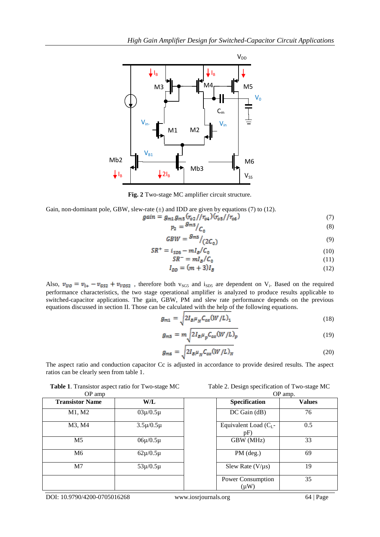

**Fig. 2** Two-stage MC amplifier circuit structure.

Gain, non-dominant pole, GBW, slew-rate  $(\pm)$  and IDD are given by equations (7) to (12).

$$
gain = g_{m1}g_{m5}(r_{o2})/r_{o4})(r_{o5}/r_{o6})\tag{7}
$$

$$
p_2 = \frac{g_{m5}}{C_0} \tag{8}
$$

$$
GBW = \frac{g_{\rm ms}}{2C_0} \tag{9}
$$

$$
SR^+ = i_{SD5} - mI_B/C_0 \tag{10}
$$

$$
SR^- = mI_B/C_0 \tag{11}
$$

$$
I_{DD} = (m+3)I_B \tag{12}
$$

Also,  $v_{UQ} = v_{i+} - v_{G52} + v_{VDS2}$ , therefore both  $v_{SG5}$  and  $i_{SD5}$  are dependent on V<sub>i</sub>. Based on the required performance characteristics, the two stage operational amplifier is analyzed to produce results applicable to switched-capacitor applications. The gain, GBW, PM and slew rate performance depends on the previous equations discussed in section II. Those can be calculated with the help of the following equations.

$$
g_{m1} = \sqrt{2I_B\mu_N C_{ox}(W/L)_1}
$$
\n(18)

$$
g_{m5} = m \sqrt{2I_B \mu_p C_{ox} (W/L)_p}
$$
\n(19)

$$
g_{m6} = \sqrt{2I_B\mu_N C_{ox}(W/L)_N}
$$
\n(20)

The aspect ratio and conduction capacitor Cc is adjusted in accordance to provide desired results. The aspect ratios can be clearly seen from table 1.

Table 1. Transistor aspect ratio for Two-stage MC

| Table 2. Design specification of Two-stage MC |  |
|-----------------------------------------------|--|
|-----------------------------------------------|--|

| OP amp                 |                     |                                | OP amp.       |  |  |
|------------------------|---------------------|--------------------------------|---------------|--|--|
| <b>Transistor Name</b> | W/L                 | <b>Specification</b>           | <b>Values</b> |  |  |
| M1, M2                 | $03\mu/0.5\mu$      | $DC$ Gain $(dB)$               | 76            |  |  |
| M3, M4                 | $3.5 \mu / 0.5 \mu$ | Equivalent Load $(C_L$ -<br>pF | 0.5           |  |  |
| M <sub>5</sub>         | $06\mu/0.5\mu$      | GBW (MHz)                      | 33            |  |  |
| M6                     | $62\mu/0.5\mu$      | $PM$ (deg.)                    | 69            |  |  |
| M <sub>7</sub>         | $53\mu/0.5\mu$      | Slew Rate $(V/\mu s)$          | 19            |  |  |
|                        |                     | Power Consumption<br>(µW)      | 35            |  |  |

DOI: 10.9790/4200-0705016268 www.iosrjournals.org 64 | Page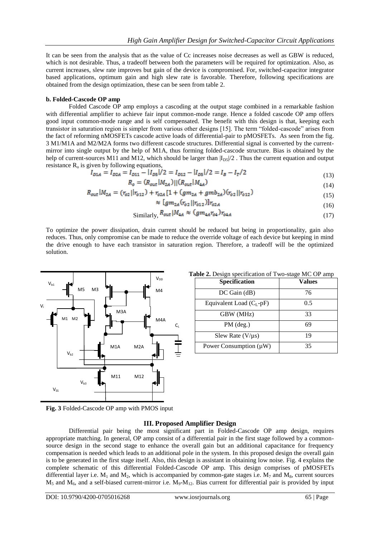It can be seen from the analysis that as the value of Cc increases noise decreases as well as GBW is reduced, which is not desirable. Thus, a tradeoff between both the parameters will be required for optimization. Also, as current increases, slew rate improves but gain of the device is compromised. For, switched-capacitor integrator based applications, optimum gain and high slew rate is favorable. Therefore, following specifications are obtained from the design optimization, these can be seen from table 2.

#### **b. Folded-Cascode OP amp**

Folded Cascode OP amp employs a cascoding at the output stage combined in a remarkable fashion with differential amplifier to achieve fair input common-mode range. Hence a folded cascode OP amp offers good input common-mode range and is self compensated. The benefit with this design is that, keeping each transistor in saturation region is simpler from various other designs [15]. The term "folded-cascode" arises from the fact of reforming nMOSFETs cascode active loads of differential-pair to pMOSFETs. As seen from the fig. 3 M1/M1A and M2/M2A forms two different cascode structures. Differential signal is converted by the currentmirror into single output by the help of M1A, thus forming folded-cascode structure. Bias is obtained by the help of current-sources M11 and M12, which should be larger than  $|I_{DS}|/2$ . Thus the current equation and output resistance  $R_0$  is given by following equations,

$$
I_{D1A} = I_{D2A} = I_{D11} - |I_{D5}|/2 = I_{D12} - |I_{D5}|/2 = I_B - I_T/2
$$
\n(13)

$$
R_o = (R_{out} | M_{2A}) || (R_{out} | M_{4A})
$$
\n(14)

$$
R_{out} | M_{2A} = (r_{o2} || r_{o12}) + r_{o2A} [1 + (gm_{2A} + gmb_{2A}) (r_{o2} || r_{o12})
$$
\n(15)

$$
\mathbb{E}[gm_{2A}(r_{o1}||r_{o12})]r_{o2A} \tag{16}
$$

Similarly, 
$$
R_{out} | M_{4A} \approx (gm_{4A}r_{04})r_{04A}
$$
 (17)

To optimize the power dissipation, drain current should be reduced but being in proportionality, gain also reduces. Thus, only compromise can be made to reduce the override voltage of each device but keeping in mind the drive enough to have each transistor in saturation region. Therefore, a tradeoff will be the optimized solution.

ś



|  | Table 2. Design specification of Two-stage MC OP amp |  |  |
|--|------------------------------------------------------|--|--|
|  |                                                      |  |  |

| Specification                | Values |
|------------------------------|--------|
| $DC$ Gain $(dB)$             | 76     |
| Equivalent Load $(C_I - pF)$ | 0.5    |
| GBW (MHz)                    | 33     |
| $PM$ (deg.)                  | 69     |
| Slew Rate $(V/\mu s)$        | 19     |
| Power Consumption $(\mu W)$  | 35     |

**Fig. 3** Folded-Cascode OP amp with PMOS input

## **III. Proposed Amplifier Design**

Differential pair being the most significant part in Folded-Cascode OP amp design, requires appropriate matching. In general, OP amp consist of a differential pair in the first stage followed by a commonsource design in the second stage to enhance the overall gain but an additional capacitance for frequency compensation is needed which leads to an additional pole in the system. In this proposed design the overall gain is to be generated in the first stage itself. Also, this design is assistant in obtaining low noise. Fig. 4 explains the complete schematic of this differential Folded-Cascode OP amp. This design comprises of pMOSFETs differential layer i.e.  $M_1$  and  $M_2$ , which is accompanied by common-gate stages i.e.  $M_7$  and  $M_8$ , current sources  $M_5$  and  $M_6$ , and a self-biased current-mirror i.e.  $M_9$ - $M_{12}$ . Bias current for differential pair is provided by input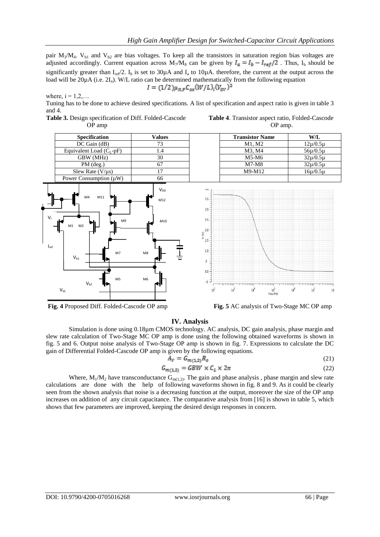pair  $M_3/M_4$ . V<sub>b1</sub> and V<sub>b2</sub> are bias voltages. To keep all the transistors in saturation region bias voltages are adjusted accordingly. Current equation across  $M_7/M_8$  can be given by  $I_a = I_b - I_{ref}/2$ . Thus,  $I_b$  should be significantly greater than  $I_{ref}/2$ .  $I_b$  is set to 30 $\mu$ A and  $I_a$  to 10 $\mu$ A. therefore, the current at the output across the load will be 20µA (i.e. 2I<sub>a</sub>). W/L ratio can be determined mathematically from the following equation  $I = (1/2)\mu_{N,P}C_{ox}(W/L)_{i}(V_{ov})^2$ 

where,  $i = 1, 2, \ldots$ 

Tuning has to be done to achieve desired specifications. A list of specification and aspect ratio is given in table 3 and 4.











**Fig. 4** Proposed Diff. Folded-Cascode OP amp **Fig. 5** AC analysis of Two-Stage MC OP amp

#### **IV. Analysis**

Simulation is done using 0.18µm CMOS technology. AC analysis, DC gain analysis, phase margin and slew rate calculation of Two-Stage MC OP amp is done using the following obtained waveforms is shown in fig. 5 and 6. Output noise analysis of Two-Stage OP amp is shown in fig. 7. Expressions to calculate the DC gain of Differential Folded-Cascode OP amp is given by the following equations.

$$
A_V = G_{m(1,2)} R_o \tag{21}
$$

$$
G_{m(1,2)} = GBW \times C_L \times 2\pi \tag{22}
$$

Where,  $M_1/M_2$  have transconductance  $G_{m(1,2)}$ . The gain and phase analysis, phase margin and slew rate calculations are done with the help of following waveforms shown in fig. 8 and 9. As it could be clearly seen from the shown analysis that noise is a decreasing function at the output, moreover the size of the OP amp increases on addition of any circuit capacitance. The comparative analysis from [16] is shown in table 5, which shows that few parameters are improved, keeping the desired design responses in concern.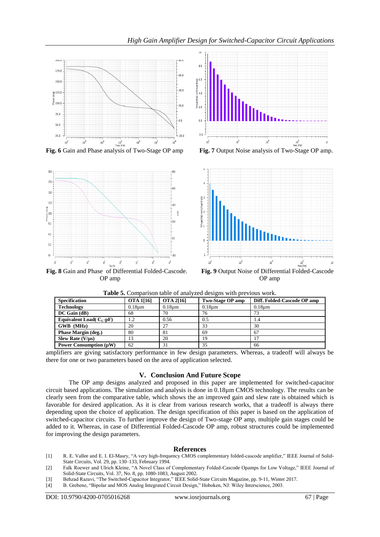

**Fig. 6** Gain and Phase analysis of Two-Stage OP amp **Fig. 7** Output Noise analysis of Two-Stage OP amp.



**Fig. 8** Gain and Phase of Differential Folded-Cascode. **Fig. 9** Output Noise of Differential Folded-Cascode OP amp OP amp





| <b>Specification</b>        | <b>OTA 1[16]</b>   | <b>OTA 2[16]</b> | Two-Stage OP amp | Diff. Folded-Cascode OP amp |
|-----------------------------|--------------------|------------------|------------------|-----------------------------|
| <b>Technology</b>           | 0.18 <sub>um</sub> | $0.18 \mu m$     | $0.18 \text{µm}$ | 0.18 <sub>um</sub>          |
| $DC$ Gain (dB)              | 68                 | 70               | 76               |                             |
| Equivalent Load( $C_I$ -pF) | 1.2                | 0.56             | 0.5              | 1.4                         |
| GWB (MHz)                   | 20                 | 27               | 33               | 30                          |
| Phase Margin (deg.)         | 80                 | 81               | 69               | 67                          |
| Slew Rate $(V/\mu s)$       | 13                 | 20               | 19               |                             |
| Power Consumption $(\mu W)$ | 62                 | 31               | 35               | 66                          |

**Table 5.** Comparison table of analyzed designs with previous work.

amplifiers are giving satisfactory performance in few design parameters. Whereas, a tradeoff will always be there for one or two parameters based on the area of application selected.

#### **V. Conclusion And Future Scope**

The OP amp designs analyzed and proposed in this paper are implemented for switched-capacitor circuit based applications. The simulation and analysis is done in 0.18µm CMOS technology. The results can be clearly seen from the comparative table, which shows the an improved gain and slew rate is obtained which is favorable for desired application. As it is clear from various research works, that a tradeoff is always there depending upon the choice of application. The design specification of this paper is based on the application of switched-capacitor circuits. To further improve the design of Two-stage OP amp, multiple gain stages could be added to it. Whereas, in case of Differential Folded-Cascode OP amp, robust structures could be implemented for improving the design parameters.

#### **References**

- [1] R. E. Vallee and E. I. El-Masry, "A very high-frequency CMOS complementary folded-cascode amplifier," IEEE Journal of Solid-State Circuits, Vol. 29, pp. 130–133, February 1994.
- [2] Falk Roewer and Ulrich Kleine, "A Novel Class of Complementary Folded-Cascode Opamps for Low Voltage," IEEE Journal of Solid-State Circuits, Vol. 37, No. 8, pp. 1080-1083, August 2002.
- [3] Behzad Razavi, "The Switched-Capacitor Integrator," IEEE Solid-State Circuits Magazine, pp. 9-11, Winter 2017.
- B. Grebene, "Bipolar and MOS Analog Integrated Circuit Design," Hoboken, NJ: Wiley Interscience, 2003.